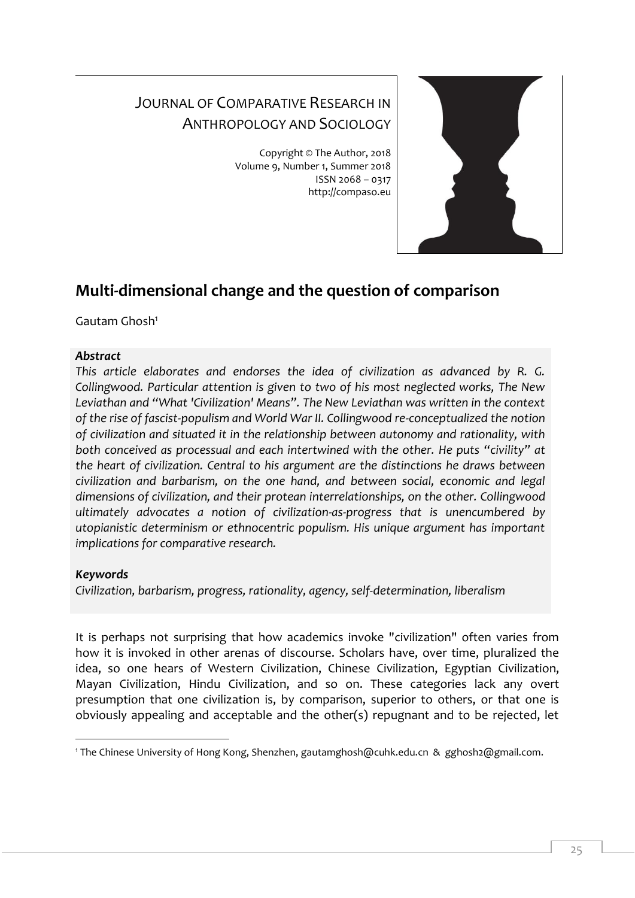# JOURNAL OF COMPARATIVE RESEARCH IN ANTHROPOLOGY AND SOCIOLOGY

Copyright © The Author, 2018 Volume 9, Number 1, Summer 2018 ISSN 2068 – 0317 http://compaso.eu



# **Multi-dimensional change and the question of comparison**

Gautam Ghosh<sup>1</sup>

### *Abstract*

*This article elaborates and endorses the idea of civilization as advanced by R. G. Collingwood. Particular attention is given to two of his most neglected works, The New Leviathan and "What 'Civilization' Means". The New Leviathan was written in the context of the rise of fascist-populism and World War II. Collingwood re-conceptualized the notion of civilization and situated it in the relationship between autonomy and rationality, with both conceived as processual and each intertwined with the other. He puts "civility" at the heart of civilization. Central to his argument are the distinctions he draws between civilization and barbarism, on the one hand, and between social, economic and legal dimensions of civilization, and their protean interrelationships, on the other. Collingwood ultimately advocates a notion of civilization-as-progress that is unencumbered by utopianistic determinism or ethnocentric populism. His unique argument has important implications for comparative research.*

## *Keywords*

*Civilization, barbarism, progress, rationality, agency, self-determination, liberalism*

It is perhaps not surprising that how academics invoke "civilization" often varies from how it is invoked in other arenas of discourse. Scholars have, over time, pluralized the idea, so one hears of Western Civilization, Chinese Civilization, Egyptian Civilization, Mayan Civilization, Hindu Civilization, and so on. These categories lack any overt presumption that one civilization is, by comparison, superior to others, or that one is obviously appealing and acceptable and the other(s) repugnant and to be rejected, let

<sup>-</sup><sup>1</sup> The Chinese University of Hong Kong, Shenzhen, gautamghosh@cuhk.edu.cn & gghosh2@gmail.com.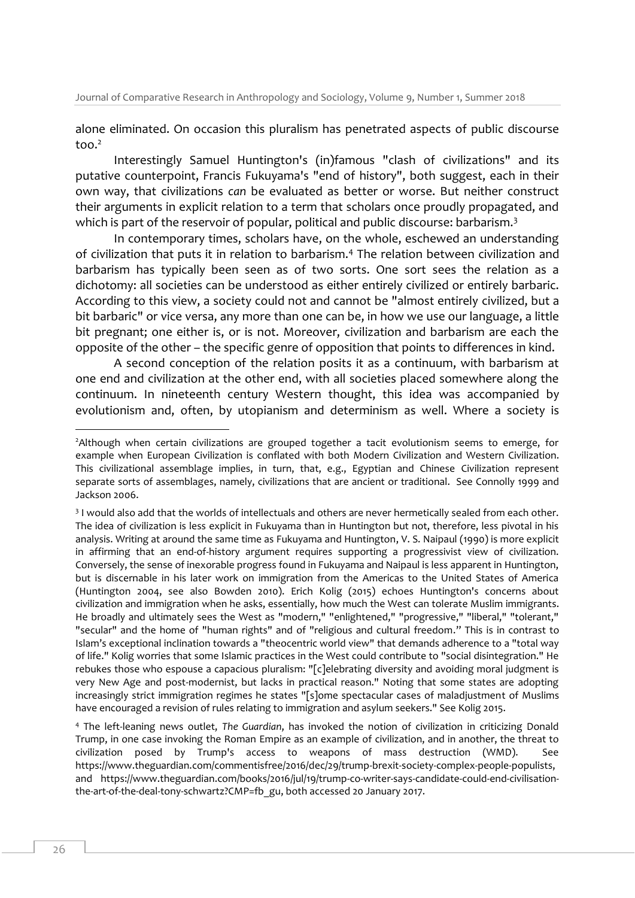alone eliminated. On occasion this pluralism has penetrated aspects of public discourse too. $2$ 

Interestingly Samuel Huntington's (in)famous "clash of civilizations" and its putative counterpoint, Francis Fukuyama's "end of history", both suggest, each in their own way, that civilizations *can* be evaluated as better or worse. But neither construct their arguments in explicit relation to a term that scholars once proudly propagated, and which is part of the reservoir of popular, political and public discourse: barbarism. $^3$ 

In contemporary times, scholars have, on the whole, eschewed an understanding of civilization that puts it in relation to barbarism.<sup>4</sup> The relation between civilization and barbarism has typically been seen as of two sorts. One sort sees the relation as a dichotomy: all societies can be understood as either entirely civilized or entirely barbaric. According to this view, a society could not and cannot be "almost entirely civilized, but a bit barbaric" or vice versa, any more than one can be, in how we use our language, a little bit pregnant; one either is, or is not. Moreover, civilization and barbarism are each the opposite of the other – the specific genre of opposition that points to differences in kind.

A second conception of the relation posits it as a continuum, with barbarism at one end and civilization at the other end, with all societies placed somewhere along the continuum. In nineteenth century Western thought, this idea was accompanied by evolutionism and, often, by utopianism and determinism as well. Where a society is

<sup>&</sup>lt;sup>-</sup> <sup>2</sup>Although when certain civilizations are grouped together a tacit evolutionism seems to emerge, for example when European Civilization is conflated with both Modern Civilization and Western Civilization. This civilizational assemblage implies, in turn, that, e.g., Egyptian and Chinese Civilization represent separate sorts of assemblages, namely, civilizations that are ancient or traditional. See Connolly 1999 and Jackson 2006.

<sup>&</sup>lt;sup>3</sup> I would also add that the worlds of intellectuals and others are never hermetically sealed from each other. The idea of civilization is less explicit in Fukuyama than in Huntington but not, therefore, less pivotal in his analysis. Writing at around the same time as Fukuyama and Huntington, V. S. Naipaul (1990) is more explicit in affirming that an end-of-history argument requires supporting a progressivist view of civilization. Conversely, the sense of inexorable progress found in Fukuyama and Naipaul is less apparent in Huntington, but is discernable in his later work on immigration from the Americas to the United States of America (Huntington 2004, see also Bowden 2010). Erich Kolig (2015) echoes Huntington's concerns about civilization and immigration when he asks, essentially, how much the West can tolerate Muslim immigrants. He broadly and ultimately sees the West as "modern," "enlightened," "progressive," "liberal," "tolerant," "secular" and the home of "human rights" and of "religious and cultural freedom." This is in contrast to Islam's exceptional inclination towards a "theocentric world view" that demands adherence to a "total way of life." Kolig worries that some Islamic practices in the West could contribute to "social disintegration." He rebukes those who espouse a capacious pluralism: "[c]elebrating diversity and avoiding moral judgment is very New Age and post-modernist, but lacks in practical reason." Noting that some states are adopting increasingly strict immigration regimes he states "[s]ome spectacular cases of maladjustment of Muslims have encouraged a revision of rules relating to immigration and asylum seekers." See Kolig 2015.

<sup>4</sup> The left-leaning news outlet, *The Guardian*, has invoked the notion of civilization in criticizing Donald Trump, in one case invoking the Roman Empire as an example of civilization, and in another, the threat to civilization posed by Trump's access to weapons of mass destruction (WMD). See https://www.theguardian.com/commentisfree/2016/dec/29/trump-brexit-society-complex-people-populists, and https://www.theguardian.com/books/2016/jul/19/trump-co-writer-says-candidate-could-end-civilisationthe-art-of-the-deal-tony-schwartz?CMP=fb\_gu, both accessed 20 January 2017.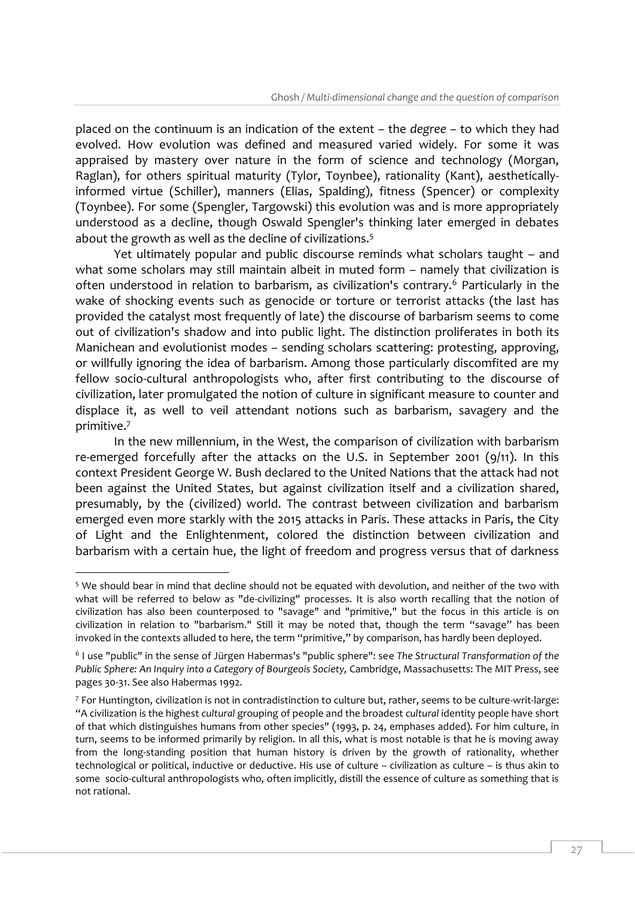placed on the continuum is an indication of the extent – the *degree* – to which they had evolved. How evolution was defined and measured varied widely. For some it was appraised by mastery over nature in the form of science and technology (Morgan, Raglan), for others spiritual maturity (Tylor, Toynbee), rationality (Kant), aestheticallyinformed virtue (Schiller), manners (Elias, Spalding), fitness (Spencer) or complexity (Toynbee). For some (Spengler, Targowski) this evolution was and is more appropriately understood as a decline, though Oswald Spengler's thinking later emerged in debates about the growth as well as the decline of civilizations.<sup>5</sup>

Yet ultimately popular and public discourse reminds what scholars taught – and what some scholars may still maintain albeit in muted form – namely that civilization is often understood in relation to barbarism, as civilization's contrary.<sup>6</sup> Particularly in the wake of shocking events such as genocide or torture or terrorist attacks (the last has provided the catalyst most frequently of late) the discourse of barbarism seems to come out of civilization's shadow and into public light. The distinction proliferates in both its Manichean and evolutionist modes – sending scholars scattering: protesting, approving, or willfully ignoring the idea of barbarism. Among those particularly discomfited are my fellow socio-cultural anthropologists who, after first contributing to the discourse of civilization, later promulgated the notion of culture in significant measure to counter and displace it, as well to veil attendant notions such as barbarism, savagery and the primitive.<sup>7</sup>

In the new millennium, in the West, the comparison of civilization with barbarism re-emerged forcefully after the attacks on the U.S. in September 2001 (9/11). In this context President George W. Bush declared to the United Nations that the attack had not been against the United States, but against civilization itself and a civilization shared, presumably, by the (civilized) world. The contrast between civilization and barbarism emerged even more starkly with the 2015 attacks in Paris. These attacks in Paris, the City of Light and the Enlightenment, colored the distinction between civilization and barbarism with a certain hue, the light of freedom and progress versus that of darkness

<sup>&</sup>lt;sup>-</sup> <sup>5</sup> We should bear in mind that decline should not be equated with devolution, and neither of the two with what will be referred to below as "de-civilizing" processes. It is also worth recalling that the notion of civilization has also been counterposed to "savage" and "primitive," but the focus in this article is on civilization in relation to "barbarism." Still it may be noted that, though the term "savage" has been invoked in the contexts alluded to here, the term "primitive," by comparison, has hardly been deployed.

<sup>6</sup> I use "public" in the sense of Jürgen Habermas's "public sphere": see *The Structural Transformation of the Public Sphere: An Inquiry into a Category of Bourgeois Society,* Cambridge, Massachusetts: The MIT Press, see pages 30-31. See also Habermas 1992.

<sup>7</sup> For Huntington, civilization is not in contradistinction to culture but, rather, seems to be culture-writ-large: "A civilization is the highest *cultural* grouping of people and the broadest *cultural* identity people have short of that which distinguishes humans from other species" (1993, p. 24, emphases added). For him culture, in turn, seems to be informed primarily by religion. In all this, what is most notable is that he is moving away from the long-standing position that human history is driven by the growth of rationality, whether technological or political, inductive or deductive. His use of culture – civilization as culture – is thus akin to some socio-cultural anthropologists who, often implicitly, distill the essence of culture as something that is not rational.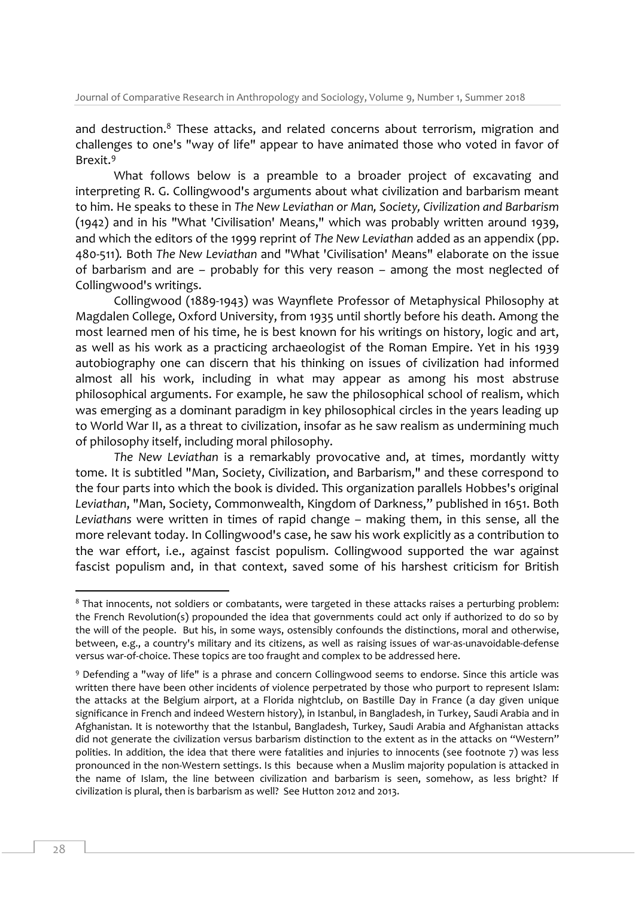and destruction.<sup>8</sup> These attacks, and related concerns about terrorism, migration and challenges to one's "way of life" appear to have animated those who voted in favor of Brexit.<sup>9</sup>

What follows below is a preamble to a broader project of excavating and interpreting R. G. Collingwood's arguments about what civilization and barbarism meant to him. He speaks to these in *The New Leviathan or Man, Society, Civilization and Barbarism* (1942) and in his "What 'Civilisation' Means," which was probably written around 1939, and which the editors of the 1999 reprint of *The New Leviathan* added as an appendix (pp. 480-511)*.* Both *The New Leviathan* and "What 'Civilisation' Means" elaborate on the issue of barbarism and are – probably for this very reason – among the most neglected of Collingwood's writings.

Collingwood (1889-1943) was Waynflete Professor of Metaphysical Philosophy at Magdalen College, Oxford University, from 1935 until shortly before his death. Among the most learned men of his time, he is best known for his writings on history, logic and art, as well as his work as a practicing archaeologist of the Roman Empire. Yet in his 1939 autobiography one can discern that his thinking on issues of civilization had informed almost all his work, including in what may appear as among his most abstruse philosophical arguments. For example, he saw the philosophical school of realism, which was emerging as a dominant paradigm in key philosophical circles in the years leading up to World War II, as a threat to civilization, insofar as he saw realism as undermining much of philosophy itself, including moral philosophy.

*The New Leviathan* is a remarkably provocative and, at times, mordantly witty tome. It is subtitled "Man, Society, Civilization, and Barbarism," and these correspond to the four parts into which the book is divided. This organization parallels Hobbes's original *Leviathan*, "Man, Society, Commonwealth, Kingdom of Darkness," published in 1651. Both *Leviathans* were written in times of rapid change – making them, in this sense, all the more relevant today. In Collingwood's case, he saw his work explicitly as a contribution to the war effort, i.e., against fascist populism. Collingwood supported the war against fascist populism and, in that context, saved some of his harshest criticism for British

<sup>-</sup>

<sup>&</sup>lt;sup>8</sup> That innocents, not soldiers or combatants, were targeted in these attacks raises a perturbing problem: the French Revolution(s) propounded the idea that governments could act only if authorized to do so by the will of the people. But his, in some ways, ostensibly confounds the distinctions, moral and otherwise, between, e.g., a country's military and its citizens, as well as raising issues of war-as-unavoidable-defense versus war-of-choice. These topics are too fraught and complex to be addressed here.

<sup>9</sup> Defending a "way of life" is a phrase and concern Collingwood seems to endorse. Since this article was written there have been other incidents of violence perpetrated by those who purport to represent Islam: the attacks at the Belgium airport, at a Florida nightclub, on Bastille Day in France (a day given unique significance in French and indeed Western history), in Istanbul, in Bangladesh, in Turkey, Saudi Arabia and in Afghanistan. It is noteworthy that the Istanbul, Bangladesh, Turkey, Saudi Arabia and Afghanistan attacks did not generate the civilization versus barbarism distinction to the extent as in the attacks on "Western" polities. In addition, the idea that there were fatalities and injuries to innocents (see footnote 7) was less pronounced in the non-Western settings. Is this because when a Muslim majority population is attacked in the name of Islam, the line between civilization and barbarism is seen, somehow, as less bright? If civilization is plural, then is barbarism as well? See Hutton 2012 and 2013.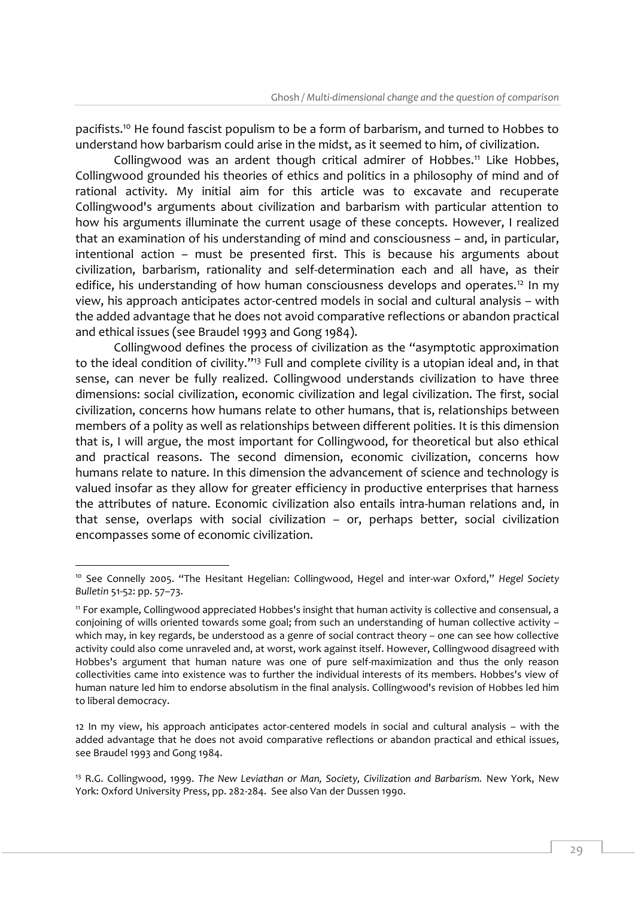pacifists.<sup>10</sup> He found fascist populism to be a form of barbarism, and turned to Hobbes to understand how barbarism could arise in the midst, as it seemed to him, of civilization.

Collingwood was an ardent though critical admirer of Hobbes.<sup>11</sup> Like Hobbes, Collingwood grounded his theories of ethics and politics in a philosophy of mind and of rational activity. My initial aim for this article was to excavate and recuperate Collingwood's arguments about civilization and barbarism with particular attention to how his arguments illuminate the current usage of these concepts. However, I realized that an examination of his understanding of mind and consciousness – and, in particular, intentional action – must be presented first. This is because his arguments about civilization, barbarism, rationality and self-determination each and all have, as their edifice, his understanding of how human consciousness develops and operates.<sup>12</sup> In my view, his approach anticipates actor-centred models in social and cultural analysis – with the added advantage that he does not avoid comparative reflections or abandon practical and ethical issues (see Braudel 1993 and Gong 1984).

Collingwood defines the process of civilization as the "asymptotic approximation to the ideal condition of civility."<sup>13</sup> Full and complete civility is a utopian ideal and, in that sense, can never be fully realized. Collingwood understands civilization to have three dimensions: social civilization, economic civilization and legal civilization. The first, social civilization, concerns how humans relate to other humans, that is, relationships between members of a polity as well as relationships between different polities. It is this dimension that is, I will argue, the most important for Collingwood, for theoretical but also ethical and practical reasons. The second dimension, economic civilization, concerns how humans relate to nature. In this dimension the advancement of science and technology is valued insofar as they allow for greater efficiency in productive enterprises that harness the attributes of nature. Economic civilization also entails intra-human relations and, in that sense, overlaps with social civilization – or, perhaps better, social civilization encompasses some of economic civilization.

<sup>-</sup>

<sup>10</sup> See Connelly 2005. "The Hesitant Hegelian: Collingwood, Hegel and inter-war Oxford," *Hegel Society Bulletin* 51-52: pp. 57–73.

<sup>11</sup> For example, Collingwood appreciated Hobbes's insight that human activity is collective and consensual, a conjoining of wills oriented towards some goal; from such an understanding of human collective activity which may, in key regards, be understood as a genre of social contract theory - one can see how collective activity could also come unraveled and, at worst, work against itself. However, Collingwood disagreed with Hobbes's argument that human nature was one of pure self-maximization and thus the only reason collectivities came into existence was to further the individual interests of its members. Hobbes's view of human nature led him to endorse absolutism in the final analysis. Collingwood's revision of Hobbes led him to liberal democracy.

<sup>12</sup> In my view, his approach anticipates actor-centered models in social and cultural analysis – with the added advantage that he does not avoid comparative reflections or abandon practical and ethical issues, see Braudel 1993 and Gong 1984.

<sup>&</sup>lt;sup>13</sup> R.G. Collingwood, 1999. The New Leviathan or Man, Society, Civilization and Barbarism. New York, New York: Oxford University Press, pp. 282-284. See also Van der Dussen 1990.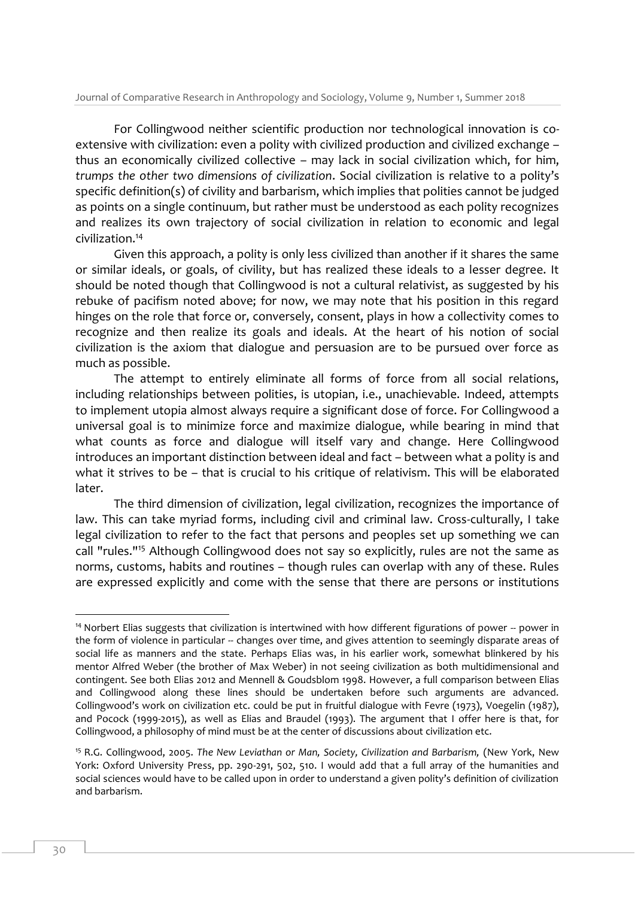For Collingwood neither scientific production nor technological innovation is coextensive with civilization: even a polity with civilized production and civilized exchange – thus an economically civilized collective – may lack in social civilization which, for him, *trumps the other two dimensions of civilization*. Social civilization is relative to a polity's specific definition(s) of civility and barbarism, which implies that polities cannot be judged as points on a single continuum, but rather must be understood as each polity recognizes and realizes its own trajectory of social civilization in relation to economic and legal civilization.<sup>14</sup>

Given this approach, a polity is only less civilized than another if it shares the same or similar ideals, or goals, of civility, but has realized these ideals to a lesser degree. It should be noted though that Collingwood is not a cultural relativist, as suggested by his rebuke of pacifism noted above; for now, we may note that his position in this regard hinges on the role that force or, conversely, consent, plays in how a collectivity comes to recognize and then realize its goals and ideals. At the heart of his notion of social civilization is the axiom that dialogue and persuasion are to be pursued over force as much as possible.

The attempt to entirely eliminate all forms of force from all social relations, including relationships between polities, is utopian, i.e., unachievable. Indeed, attempts to implement utopia almost always require a significant dose of force. For Collingwood a universal goal is to minimize force and maximize dialogue, while bearing in mind that what counts as force and dialogue will itself vary and change. Here Collingwood introduces an important distinction between ideal and fact – between what a polity is and what it strives to be – that is crucial to his critique of relativism. This will be elaborated later.

The third dimension of civilization, legal civilization, recognizes the importance of law. This can take myriad forms, including civil and criminal law. Cross-culturally, I take legal civilization to refer to the fact that persons and peoples set up something we can call "rules."<sup>15</sup> Although Collingwood does not say so explicitly, rules are not the same as norms, customs, habits and routines – though rules can overlap with any of these. Rules are expressed explicitly and come with the sense that there are persons or institutions

<sup>&</sup>lt;sup>-</sup> <sup>14</sup> Norbert Elias suggests that civilization is intertwined with how different figurations of power -- power in the form of violence in particular -- changes over time, and gives attention to seemingly disparate areas of social life as manners and the state. Perhaps Elias was, in his earlier work, somewhat blinkered by his mentor Alfred Weber (the brother of Max Weber) in not seeing civilization as both multidimensional and contingent. See both Elias 2012 and Mennell & Goudsblom 1998. However, a full comparison between Elias and Collingwood along these lines should be undertaken before such arguments are advanced. Collingwood's work on civilization etc. could be put in fruitful dialogue with Fevre (1973), Voegelin (1987), and Pocock (1999-2015), as well as Elias and Braudel (1993). The argument that I offer here is that, for Collingwood, a philosophy of mind must be at the center of discussions about civilization etc.

<sup>15</sup> R.G. Collingwood, 2005. *The New Leviathan or Man, Society, Civilization and Barbarism,* (New York, New York: Oxford University Press, pp. 290-291, 502, 510. I would add that a full array of the humanities and social sciences would have to be called upon in order to understand a given polity's definition of civilization and barbarism.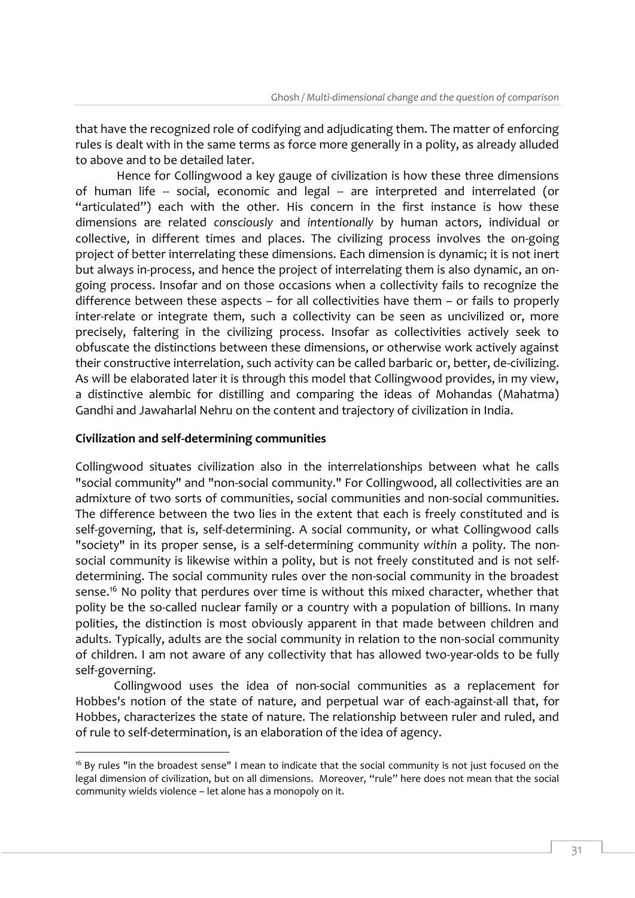that have the recognized role of codifying and adjudicating them. The matter of enforcing rules is dealt with in the same terms as force more generally in a polity, as already alluded to above and to be detailed later.

Hence for Collingwood a key gauge of civilization is how these three dimensions of human life -- social, economic and legal -- are interpreted and interrelated (or "articulated") each with the other. His concern in the first instance is how these dimensions are related *consciously* and *intentionally* by human actors, individual or collective, in different times and places. The civilizing process involves the on-going project of better interrelating these dimensions. Each dimension is dynamic; it is not inert but always in-process, and hence the project of interrelating them is also dynamic, an ongoing process. Insofar and on those occasions when a collectivity fails to recognize the difference between these aspects – for all collectivities have them – or fails to properly inter-relate or integrate them, such a collectivity can be seen as uncivilized or, more precisely, faltering in the civilizing process. Insofar as collectivities actively seek to obfuscate the distinctions between these dimensions, or otherwise work actively against their constructive interrelation, such activity can be called barbaric or, better, de-civilizing. As will be elaborated later it is through this model that Collingwood provides, in my view, a distinctive alembic for distilling and comparing the ideas of Mohandas (Mahatma) Gandhi and Jawaharlal Nehru on the content and trajectory of civilization in India.

### **Civilization and self-determining communities**

-

Collingwood situates civilization also in the interrelationships between what he calls "social community" and "non-social community." For Collingwood, all collectivities are an admixture of two sorts of communities, social communities and non-social communities. The difference between the two lies in the extent that each is freely constituted and is self-governing, that is, self-determining. A social community, or what Collingwood calls "society" in its proper sense, is a self-determining community *within* a polity. The nonsocial community is likewise within a polity, but is not freely constituted and is not selfdetermining. The social community rules over the non-social community in the broadest sense.<sup>16</sup> No polity that perdures over time is without this mixed character, whether that polity be the so-called nuclear family or a country with a population of billions. In many polities, the distinction is most obviously apparent in that made between children and adults. Typically, adults are the social community in relation to the non-social community of children. I am not aware of any collectivity that has allowed two-year-olds to be fully self-governing.

Collingwood uses the idea of non-social communities as a replacement for Hobbes's notion of the state of nature, and perpetual war of each-against-all that, for Hobbes, characterizes the state of nature. The relationship between ruler and ruled, and of rule to self-determination, is an elaboration of the idea of agency.

<sup>16</sup> By rules "in the broadest sense" I mean to indicate that the social community is not just focused on the legal dimension of civilization, but on all dimensions. Moreover, "rule" here does not mean that the social community wields violence – let alone has a monopoly on it.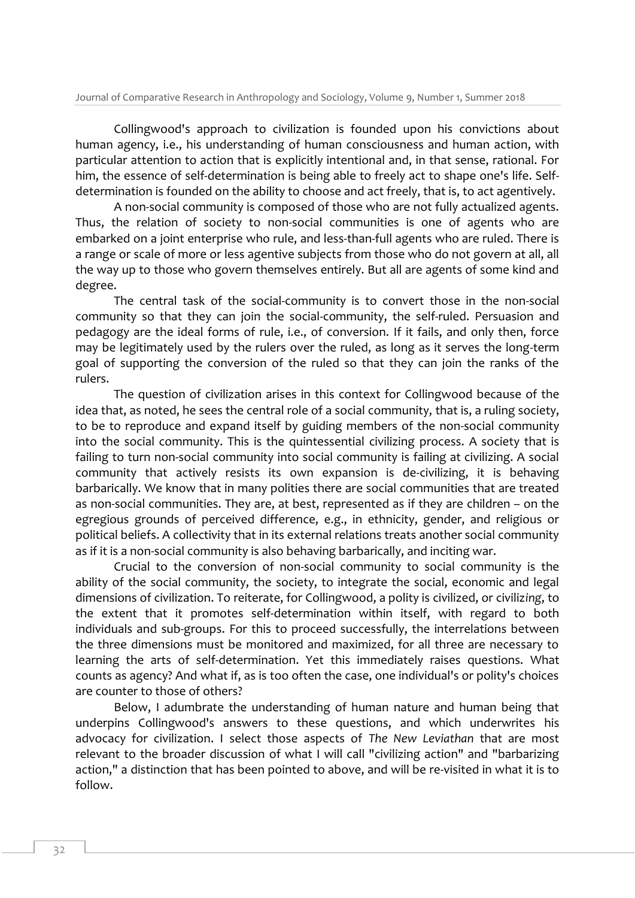Collingwood's approach to civilization is founded upon his convictions about human agency, i.e., his understanding of human consciousness and human action, with particular attention to action that is explicitly intentional and, in that sense, rational. For him, the essence of self-determination is being able to freely act to shape one's life. Selfdetermination is founded on the ability to choose and act freely, that is, to act agentively.

A non-social community is composed of those who are not fully actualized agents. Thus, the relation of society to non-social communities is one of agents who are embarked on a joint enterprise who rule, and less-than-full agents who are ruled. There is a range or scale of more or less agentive subjects from those who do not govern at all, all the way up to those who govern themselves entirely. But all are agents of some kind and degree.

The central task of the social-community is to convert those in the non-social community so that they can join the social-community, the self-ruled. Persuasion and pedagogy are the ideal forms of rule, i.e., of conversion. If it fails, and only then, force may be legitimately used by the rulers over the ruled, as long as it serves the long-term goal of supporting the conversion of the ruled so that they can join the ranks of the rulers.

The question of civilization arises in this context for Collingwood because of the idea that, as noted, he sees the central role of a social community, that is, a ruling society, to be to reproduce and expand itself by guiding members of the non-social community into the social community. This is the quintessential civilizing process. A society that is failing to turn non-social community into social community is failing at civilizing. A social community that actively resists its own expansion is de-civilizing, it is behaving barbarically. We know that in many polities there are social communities that are treated as non-social communities. They are, at best, represented as if they are children – on the egregious grounds of perceived difference, e.g., in ethnicity, gender, and religious or political beliefs. A collectivity that in its external relations treats another social community as if it is a non-social community is also behaving barbarically, and inciting war.

Crucial to the conversion of non-social community to social community is the ability of the social community, the society, to integrate the social, economic and legal dimensions of civilization. To reiterate, for Collingwood, a polity is civilized, or civiliz*ing*, to the extent that it promotes self-determination within itself, with regard to both individuals and sub-groups. For this to proceed successfully, the interrelations between the three dimensions must be monitored and maximized, for all three are necessary to learning the arts of self-determination. Yet this immediately raises questions. What counts as agency? And what if, as is too often the case, one individual's or polity's choices are counter to those of others?

Below, I adumbrate the understanding of human nature and human being that underpins Collingwood's answers to these questions, and which underwrites his advocacy for civilization. I select those aspects of *The New Leviathan* that are most relevant to the broader discussion of what I will call "civilizing action" and "barbarizing action," a distinction that has been pointed to above, and will be re-visited in what it is to follow.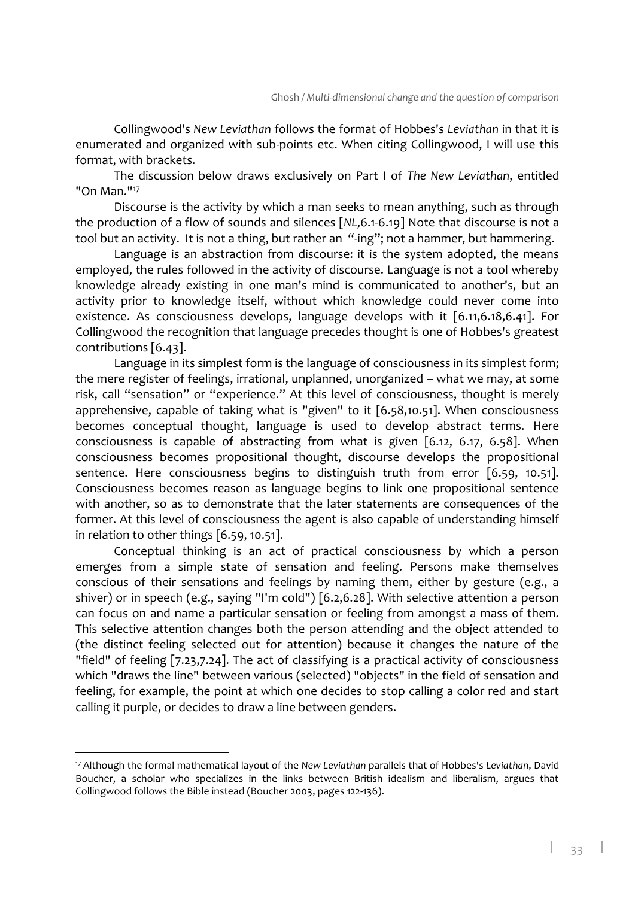Collingwood's *New Leviathan* follows the format of Hobbes's *Leviathan* in that it is enumerated and organized with sub-points etc. When citing Collingwood, I will use this format, with brackets.

The discussion below draws exclusively on Part I of *The New Leviathan*, entitled "On Man."<sup>17</sup>

Discourse is the activity by which a man seeks to mean anything, such as through the production of a flow of sounds and silences [*NL*,6.1-6.19] Note that discourse is not a tool but an activity. It is not a thing, but rather an "-ing"; not a hammer, but hammering.

Language is an abstraction from discourse: it is the system adopted, the means employed, the rules followed in the activity of discourse. Language is not a tool whereby knowledge already existing in one man's mind is communicated to another's, but an activity prior to knowledge itself, without which knowledge could never come into existence. As consciousness develops, language develops with it [6.11,6.18,6.41]. For Collingwood the recognition that language precedes thought is one of Hobbes's greatest contributions [6.43].

Language in its simplest form is the language of consciousness in its simplest form; the mere register of feelings, irrational, unplanned, unorganized – what we may, at some risk, call "sensation" or "experience." At this level of consciousness, thought is merely apprehensive, capable of taking what is "given" to it [6.58,10.51]. When consciousness becomes conceptual thought, language is used to develop abstract terms. Here consciousness is capable of abstracting from what is given [6.12, 6.17, 6.58]. When consciousness becomes propositional thought, discourse develops the propositional sentence. Here consciousness begins to distinguish truth from error [6.59, 10.51]. Consciousness becomes reason as language begins to link one propositional sentence with another, so as to demonstrate that the later statements are consequences of the former. At this level of consciousness the agent is also capable of understanding himself in relation to other things [6.59, 10.51].

Conceptual thinking is an act of practical consciousness by which a person emerges from a simple state of sensation and feeling. Persons make themselves conscious of their sensations and feelings by naming them, either by gesture (e.g., a shiver) or in speech (e.g., saying "I'm cold") [6.2,6.28]. With selective attention a person can focus on and name a particular sensation or feeling from amongst a mass of them. This selective attention changes both the person attending and the object attended to (the distinct feeling selected out for attention) because it changes the nature of the "field" of feeling [7.23,7.24]. The act of classifying is a practical activity of consciousness which "draws the line" between various (selected) "objects" in the field of sensation and feeling, for example, the point at which one decides to stop calling a color red and start calling it purple, or decides to draw a line between genders.

-

<sup>17</sup> Although the formal mathematical layout of the *New Leviathan* parallels that of Hobbes's *Leviathan*, David Boucher, a scholar who specializes in the links between British idealism and liberalism, argues that Collingwood follows the Bible instead (Boucher 2003, pages 122-136).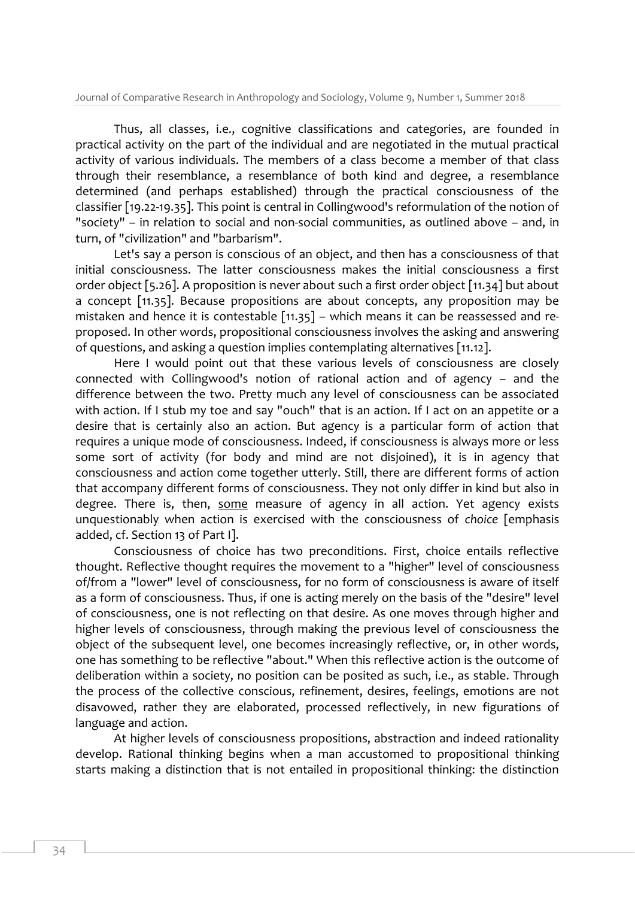Thus, all classes, i.e., cognitive classifications and categories, are founded in practical activity on the part of the individual and are negotiated in the mutual practical activity of various individuals. The members of a class become a member of that class through their resemblance, a resemblance of both kind and degree, a resemblance determined (and perhaps established) through the practical consciousness of the classifier [19.22-19.35]. This point is central in Collingwood's reformulation of the notion of "society" – in relation to social and non-social communities, as outlined above – and, in turn, of "civilization" and "barbarism".

Let's say a person is conscious of an object, and then has a consciousness of that initial consciousness. The latter consciousness makes the initial consciousness a first order object [5.26]. A proposition is never about such a first order object [11.34] but about a concept [11.35]. Because propositions are about concepts, any proposition may be mistaken and hence it is contestable [11.35] – which means it can be reassessed and reproposed. In other words, propositional consciousness involves the asking and answering of questions, and asking a question implies contemplating alternatives [11.12].

Here I would point out that these various levels of consciousness are closely connected with Collingwood's notion of rational action and of agency – and the difference between the two. Pretty much any level of consciousness can be associated with action. If I stub my toe and say "ouch" that is an action. If I act on an appetite or a desire that is certainly also an action. But agency is a particular form of action that requires a unique mode of consciousness. Indeed, if consciousness is always more or less some sort of activity (for body and mind are not disjoined), it is in agency that consciousness and action come together utterly. Still, there are different forms of action that accompany different forms of consciousness. They not only differ in kind but also in degree. There is, then, some measure of agency in all action. Yet agency exists unquestionably when action is exercised with the consciousness of *choice* [emphasis added, cf. Section 13 of Part I].

Consciousness of choice has two preconditions. First, choice entails reflective thought. Reflective thought requires the movement to a "higher" level of consciousness of/from a "lower" level of consciousness, for no form of consciousness is aware of itself as a form of consciousness. Thus, if one is acting merely on the basis of the "desire" level of consciousness, one is not reflecting on that desire. As one moves through higher and higher levels of consciousness, through making the previous level of consciousness the object of the subsequent level, one becomes increasingly reflective, or, in other words, one has something to be reflective "about." When this reflective action is the outcome of deliberation within a society, no position can be posited as such, i.e., as stable. Through the process of the collective conscious, refinement, desires, feelings, emotions are not disavowed, rather they are elaborated, processed reflectively, in new figurations of language and action.

At higher levels of consciousness propositions, abstraction and indeed rationality develop. Rational thinking begins when a man accustomed to propositional thinking starts making a distinction that is not entailed in propositional thinking: the distinction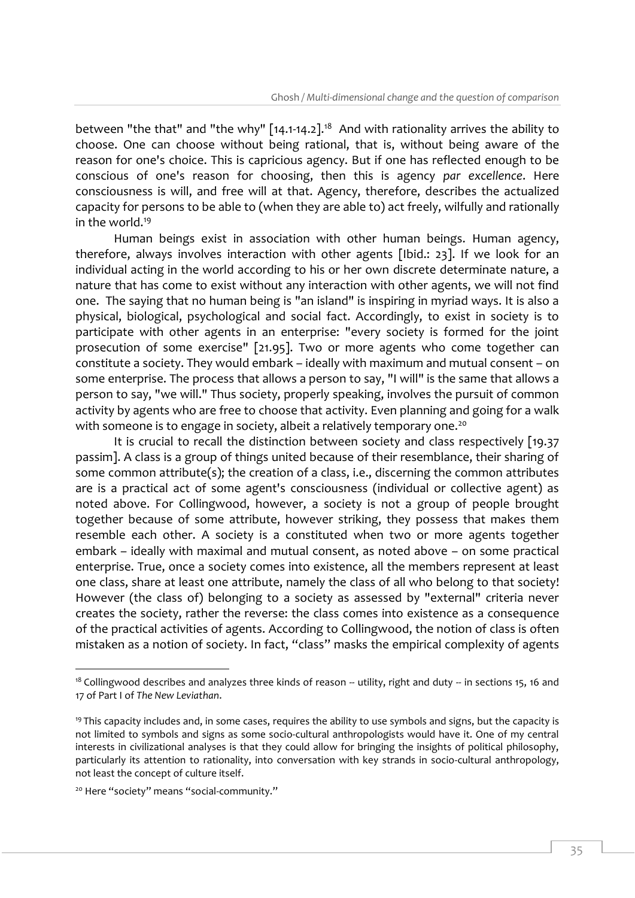between "the that" and "the why"  $[14.1$ -14.2].<sup>18</sup> And with rationality arrives the ability to choose. One can choose without being rational, that is, without being aware of the reason for one's choice. This is capricious agency. But if one has reflected enough to be conscious of one's reason for choosing, then this is agency *par excellence*. Here consciousness is will, and free will at that. Agency, therefore, describes the actualized capacity for persons to be able to (when they are able to) act freely, wilfully and rationally in the world.<sup>19</sup>

Human beings exist in association with other human beings. Human agency, therefore, always involves interaction with other agents [Ibid.: 23]. If we look for an individual acting in the world according to his or her own discrete determinate nature, a nature that has come to exist without any interaction with other agents, we will not find one. The saying that no human being is "an island" is inspiring in myriad ways. It is also a physical, biological, psychological and social fact. Accordingly, to exist in society is to participate with other agents in an enterprise: "every society is formed for the joint prosecution of some exercise" [21.95]. Two or more agents who come together can constitute a society. They would embark – ideally with maximum and mutual consent – on some enterprise. The process that allows a person to say, "I will" is the same that allows a person to say, "we will." Thus society, properly speaking, involves the pursuit of common activity by agents who are free to choose that activity. Even planning and going for a walk with someone is to engage in society, albeit a relatively temporary one.<sup>20</sup>

It is crucial to recall the distinction between society and class respectively [19.37 passim]. A class is a group of things united because of their resemblance, their sharing of some common attribute(s); the creation of a class, i.e., discerning the common attributes are is a practical act of some agent's consciousness (individual or collective agent) as noted above. For Collingwood, however, a society is not a group of people brought together because of some attribute, however striking, they possess that makes them resemble each other. A society is a constituted when two or more agents together embark – ideally with maximal and mutual consent, as noted above – on some practical enterprise. True, once a society comes into existence, all the members represent at least one class, share at least one attribute, namely the class of all who belong to that society! However (the class of) belonging to a society as assessed by "external" criteria never creates the society, rather the reverse: the class comes into existence as a consequence of the practical activities of agents. According to Collingwood, the notion of class is often mistaken as a notion of society. In fact, "class" masks the empirical complexity of agents

<sup>&</sup>lt;sup>-</sup>  $18$  Collingwood describes and analyzes three kinds of reason -- utility, right and duty -- in sections 15, 16 and 17 of Part I of *The New Leviathan*.

<sup>&</sup>lt;sup>19</sup> This capacity includes and, in some cases, requires the ability to use symbols and signs, but the capacity is not limited to symbols and signs as some socio-cultural anthropologists would have it. One of my central interests in civilizational analyses is that they could allow for bringing the insights of political philosophy, particularly its attention to rationality, into conversation with key strands in socio-cultural anthropology, not least the concept of culture itself.

<sup>&</sup>lt;sup>20</sup> Here "society" means "social-community."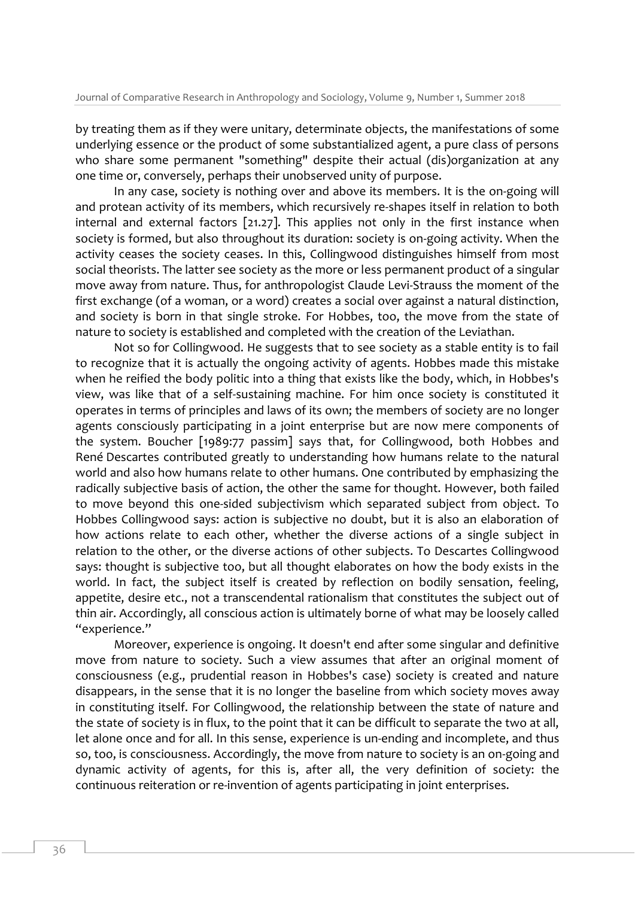by treating them as if they were unitary, determinate objects, the manifestations of some underlying essence or the product of some substantialized agent, a pure class of persons who share some permanent "something" despite their actual (dis)organization at any one time or, conversely, perhaps their unobserved unity of purpose.

In any case, society is nothing over and above its members. It is the on-going will and protean activity of its members, which recursively re-shapes itself in relation to both internal and external factors [21.27]. This applies not only in the first instance when society is formed, but also throughout its duration: society is on-going activity. When the activity ceases the society ceases. In this, Collingwood distinguishes himself from most social theorists. The latter see society as the more or less permanent product of a singular move away from nature. Thus, for anthropologist Claude Levi-Strauss the moment of the first exchange (of a woman, or a word) creates a social over against a natural distinction, and society is born in that single stroke. For Hobbes, too, the move from the state of nature to society is established and completed with the creation of the Leviathan.

Not so for Collingwood. He suggests that to see society as a stable entity is to fail to recognize that it is actually the ongoing activity of agents. Hobbes made this mistake when he reified the body politic into a thing that exists like the body, which, in Hobbes's view, was like that of a self-sustaining machine. For him once society is constituted it operates in terms of principles and laws of its own; the members of society are no longer agents consciously participating in a joint enterprise but are now mere components of the system. Boucher [1989:77 passim] says that, for Collingwood, both Hobbes and René Descartes contributed greatly to understanding how humans relate to the natural world and also how humans relate to other humans. One contributed by emphasizing the radically subjective basis of action, the other the same for thought. However, both failed to move beyond this one-sided subjectivism which separated subject from object. To Hobbes Collingwood says: action is subjective no doubt, but it is also an elaboration of how actions relate to each other, whether the diverse actions of a single subject in relation to the other, or the diverse actions of other subjects. To Descartes Collingwood says: thought is subjective too, but all thought elaborates on how the body exists in the world. In fact, the subject itself is created by reflection on bodily sensation, feeling, appetite, desire etc., not a transcendental rationalism that constitutes the subject out of thin air. Accordingly, all conscious action is ultimately borne of what may be loosely called "experience."

Moreover, experience is ongoing. It doesn't end after some singular and definitive move from nature to society. Such a view assumes that after an original moment of consciousness (e.g., prudential reason in Hobbes's case) society is created and nature disappears, in the sense that it is no longer the baseline from which society moves away in constituting itself. For Collingwood, the relationship between the state of nature and the state of society is in flux, to the point that it can be difficult to separate the two at all, let alone once and for all. In this sense, experience is un-ending and incomplete, and thus so, too, is consciousness. Accordingly, the move from nature to society is an on-going and dynamic activity of agents, for this is, after all, the very definition of society: the continuous reiteration or re-invention of agents participating in joint enterprises.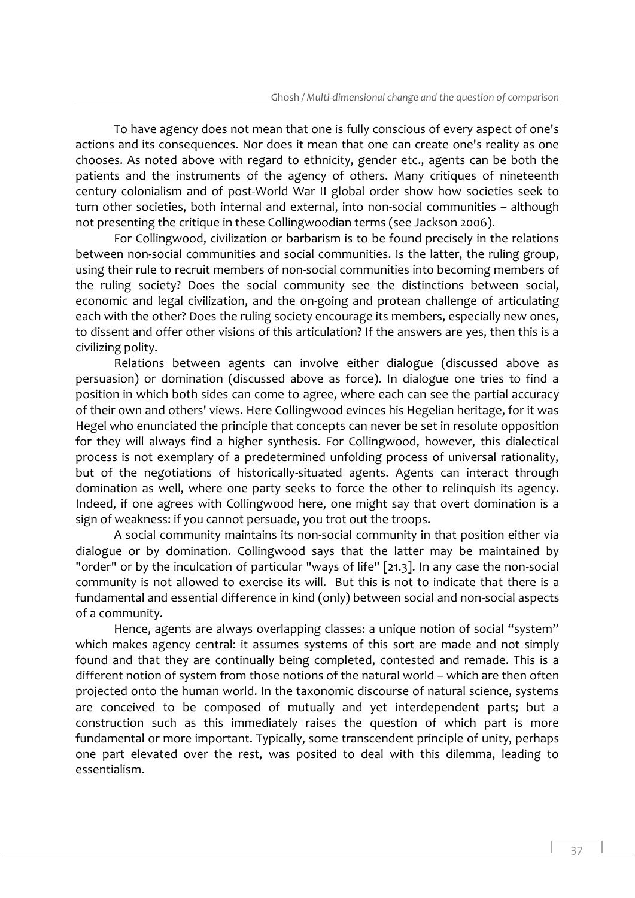To have agency does not mean that one is fully conscious of every aspect of one's actions and its consequences. Nor does it mean that one can create one's reality as one chooses. As noted above with regard to ethnicity, gender etc., agents can be both the patients and the instruments of the agency of others. Many critiques of nineteenth century colonialism and of post-World War II global order show how societies seek to turn other societies, both internal and external, into non-social communities – although not presenting the critique in these Collingwoodian terms (see Jackson 2006).

For Collingwood, civilization or barbarism is to be found precisely in the relations between non-social communities and social communities. Is the latter, the ruling group, using their rule to recruit members of non-social communities into becoming members of the ruling society? Does the social community see the distinctions between social, economic and legal civilization, and the on-going and protean challenge of articulating each with the other? Does the ruling society encourage its members, especially new ones, to dissent and offer other visions of this articulation? If the answers are yes, then this is a civilizing polity.

Relations between agents can involve either dialogue (discussed above as persuasion) or domination (discussed above as force). In dialogue one tries to find a position in which both sides can come to agree, where each can see the partial accuracy of their own and others' views. Here Collingwood evinces his Hegelian heritage, for it was Hegel who enunciated the principle that concepts can never be set in resolute opposition for they will always find a higher synthesis. For Collingwood, however, this dialectical process is not exemplary of a predetermined unfolding process of universal rationality, but of the negotiations of historically-situated agents. Agents can interact through domination as well, where one party seeks to force the other to relinquish its agency. Indeed, if one agrees with Collingwood here, one might say that overt domination is a sign of weakness: if you cannot persuade, you trot out the troops.

A social community maintains its non-social community in that position either via dialogue or by domination. Collingwood says that the latter may be maintained by "order" or by the inculcation of particular "ways of life" [21.3]. In any case the non-social community is not allowed to exercise its will. But this is not to indicate that there is a fundamental and essential difference in kind (only) between social and non-social aspects of a community.

Hence, agents are always overlapping classes: a unique notion of social "system" which makes agency central: it assumes systems of this sort are made and not simply found and that they are continually being completed, contested and remade. This is a different notion of system from those notions of the natural world – which are then often projected onto the human world. In the taxonomic discourse of natural science, systems are conceived to be composed of mutually and yet interdependent parts; but a construction such as this immediately raises the question of which part is more fundamental or more important. Typically, some transcendent principle of unity, perhaps one part elevated over the rest, was posited to deal with this dilemma, leading to essentialism.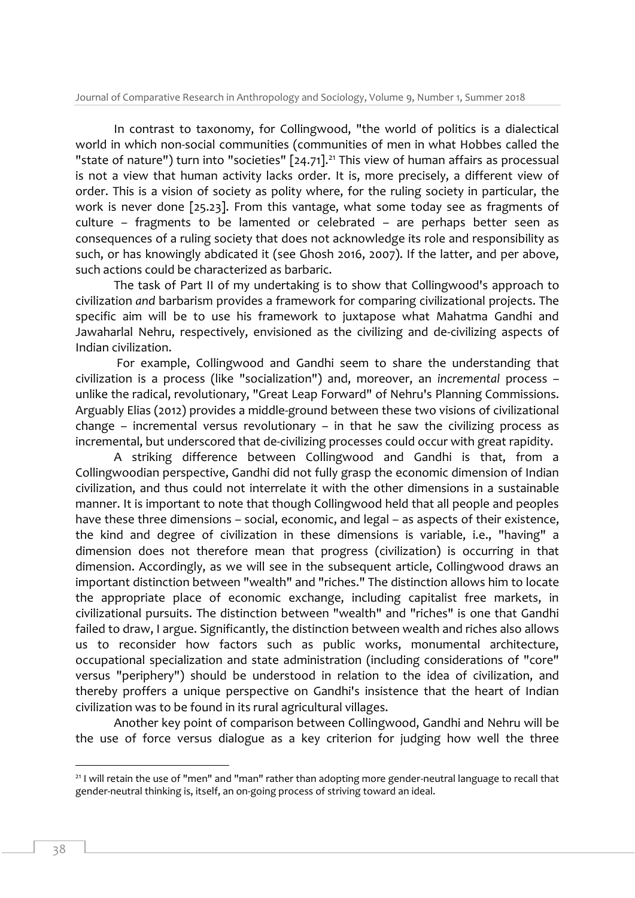In contrast to taxonomy, for Collingwood, "the world of politics is a dialectical world in which non-social communities (communities of men in what Hobbes called the "state of nature") turn into "societies"  $[24.71]$ .<sup>21</sup> This view of human affairs as processual is not a view that human activity lacks order. It is, more precisely, a different view of order. This is a vision of society as polity where, for the ruling society in particular, the work is never done [25.23]. From this vantage, what some today see as fragments of culture – fragments to be lamented or celebrated – are perhaps better seen as consequences of a ruling society that does not acknowledge its role and responsibility as such, or has knowingly abdicated it (see Ghosh 2016, 2007). If the latter, and per above, such actions could be characterized as barbaric.

The task of Part II of my undertaking is to show that Collingwood's approach to civilization *and* barbarism provides a framework for comparing civilizational projects. The specific aim will be to use his framework to juxtapose what Mahatma Gandhi and Jawaharlal Nehru, respectively, envisioned as the civilizing and de-civilizing aspects of Indian civilization.

For example, Collingwood and Gandhi seem to share the understanding that civilization is a process (like "socialization") and, moreover, an *incremental* process – unlike the radical, revolutionary, "Great Leap Forward" of Nehru's Planning Commissions. Arguably Elias (2012) provides a middle-ground between these two visions of civilizational change – incremental versus revolutionary – in that he saw the civilizing process as incremental, but underscored that de-civilizing processes could occur with great rapidity.

A striking difference between Collingwood and Gandhi is that, from a Collingwoodian perspective, Gandhi did not fully grasp the economic dimension of Indian civilization, and thus could not interrelate it with the other dimensions in a sustainable manner. It is important to note that though Collingwood held that all people and peoples have these three dimensions – social, economic, and legal – as aspects of their existence, the kind and degree of civilization in these dimensions is variable, i.e., "having" a dimension does not therefore mean that progress (civilization) is occurring in that dimension. Accordingly, as we will see in the subsequent article, Collingwood draws an important distinction between "wealth" and "riches." The distinction allows him to locate the appropriate place of economic exchange, including capitalist free markets, in civilizational pursuits. The distinction between "wealth" and "riches" is one that Gandhi failed to draw, I argue. Significantly, the distinction between wealth and riches also allows us to reconsider how factors such as public works, monumental architecture, occupational specialization and state administration (including considerations of "core" versus "periphery") should be understood in relation to the idea of civilization, and thereby proffers a unique perspective on Gandhi's insistence that the heart of Indian civilization was to be found in its rural agricultural villages.

Another key point of comparison between Collingwood, Gandhi and Nehru will be the use of force versus dialogue as a key criterion for judging how well the three

-

<sup>21</sup> I will retain the use of "men" and "man" rather than adopting more gender-neutral language to recall that gender-neutral thinking is, itself, an on-going process of striving toward an ideal.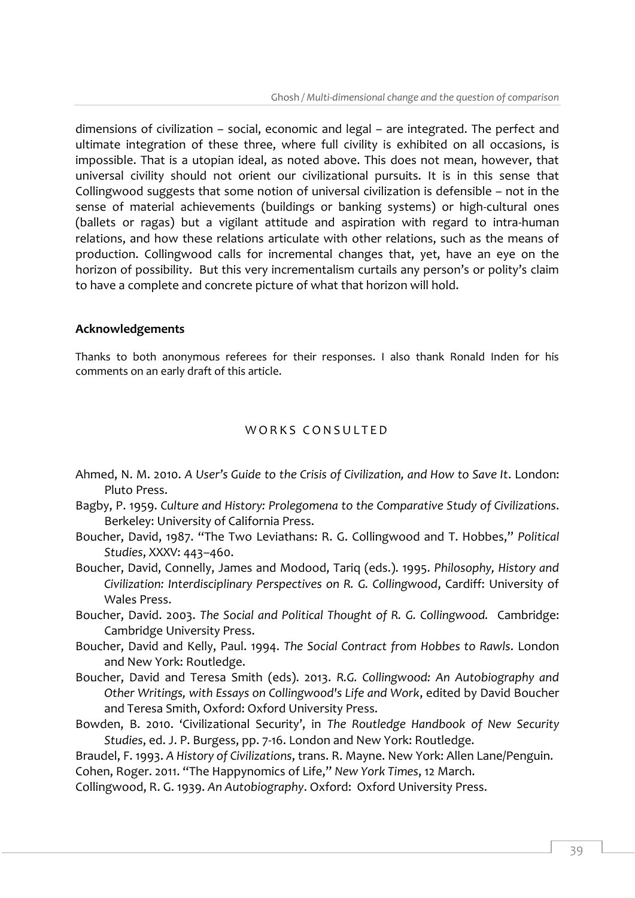dimensions of civilization – social, economic and legal – are integrated. The perfect and ultimate integration of these three, where full civility is exhibited on all occasions, is impossible. That is a utopian ideal, as noted above. This does not mean, however, that universal civility should not orient our civilizational pursuits. It is in this sense that Collingwood suggests that some notion of universal civilization is defensible – not in the sense of material achievements (buildings or banking systems) or high-cultural ones (ballets or ragas) but a vigilant attitude and aspiration with regard to intra-human relations, and how these relations articulate with other relations, such as the means of production. Collingwood calls for incremental changes that, yet, have an eye on the horizon of possibility. But this very incrementalism curtails any person's or polity's claim to have a complete and concrete picture of what that horizon will hold.

#### **Acknowledgements**

Thanks to both anonymous referees for their responses. I also thank Ronald Inden for his comments on an early draft of this article.

#### WORKS CONSULTED

- Ahmed, N. M. 2010. *A User's Guide to the Crisis of Civilization, and How to Save It*. London: Pluto Press.
- Bagby, P. 1959. *Culture and History: Prolegomena to the Comparative Study of Civilizations*. Berkeley: University of California Press.
- Boucher, David, 1987. "The Two Leviathans: R. G. Collingwood and T. Hobbes," *Political Studies*, XXXV: 443–460.
- Boucher, David, Connelly, James and Modood, Tariq (eds.). 1995. *Philosophy, History and Civilization: Interdisciplinary Perspectives on R. G. Collingwood*, Cardiff: University of Wales Press.
- Boucher, David. 2003. *The Social and Political Thought of R. G. Collingwood.* Cambridge: Cambridge University Press.
- Boucher, David and Kelly, Paul. 1994. *The Social Contract from Hobbes to Rawls*. London and New York: Routledge.
- Boucher, David and Teresa Smith (eds). 2013. *R.G. Collingwood: An Autobiography and Other Writings, with Essays on Collingwood's Life and Work*, edited by David Boucher and Teresa Smith, Oxford: Oxford University Press.
- Bowden, B. 2010. 'Civilizational Security', in *The Routledge Handbook of New Security Studies*, ed. J. P. Burgess, pp. 7-16. London and New York: Routledge.

Braudel, F. 1993. *A History of Civilizations*, trans. R. Mayne. New York: Allen Lane/Penguin.

Cohen, Roger. 2011. "The Happynomics of Life," *New York Times*, 12 March.

Collingwood, R. G. 1939. *An Autobiography*. Oxford: Oxford University Press.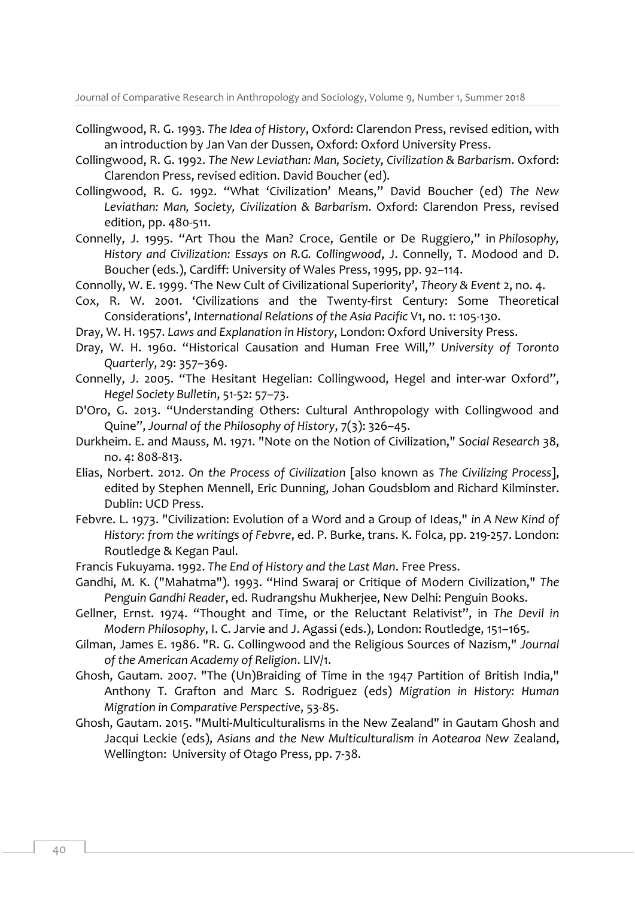- Collingwood, R. G. 1993. *The Idea of History*, Oxford: Clarendon Press, revised edition, with an introduction by Jan Van der Dussen, Oxford: Oxford University Press.
- Collingwood, R. G. 1992. *The New Leviathan: Man, Society, Civilization & Barbarism*. Oxford: Clarendon Press, revised edition. David Boucher (ed).
- Collingwood, R. G. 1992. "What 'Civilization' Means," David Boucher (ed) *The New Leviathan: Man, Society, Civilization & Barbarism*. Oxford: Clarendon Press, revised edition, pp. 480-511.
- Connelly, J. 1995. "Art Thou the Man? Croce, Gentile or De Ruggiero," in *Philosophy, History and Civilization: Essays on R.G. Collingwood*, J. Connelly, T. Modood and D. Boucher (eds.), Cardiff: University of Wales Press, 1995, pp. 92–114.
- Connolly, W. E. 1999. 'The New Cult of Civilizational Superiority', *Theory & Event* 2, no. 4.
- Cox, R. W. 2001. 'Civilizations and the Twenty-first Century: Some Theoretical Considerations', *International Relations of the Asia Pacific* V1, no. 1: 105-130.
- Dray, W. H. 1957. *Laws and Explanation in History*, London: Oxford University Press.
- Dray, W. H. 1960. "Historical Causation and Human Free Will," *University of Toronto Quarterly*, 29: 357–369.
- Connelly, J. 2005. "The Hesitant Hegelian: Collingwood, Hegel and inter-war Oxford", *Hegel Society Bulletin*, 51-52: 57–73.
- D'Oro, G. 2013. "Understanding Others: Cultural Anthropology with Collingwood and Quine", *Journal of the Philosophy of History*, 7(3): 326–45.
- Durkheim. E. and Mauss, M. 1971. "Note on the Notion of Civilization," *Social Research* 38, no. 4: 808-813.
- Elias, Norbert. 2012. *On the Process of Civilization* [also known as *The Civilizing Process*], edited by Stephen Mennell, Eric Dunning, Johan Goudsblom and Richard Kilminster. Dublin: UCD Press.
- Febvre. L. 1973. "Civilization: Evolution of a Word and a Group of Ideas," *in A New Kind of History: from the writings of Febvre*, ed. P. Burke, trans. K. Folca, pp. 219-257. London: Routledge & Kegan Paul.
- Francis Fukuyama. 1992. *The End of History and the Last Man*. Free Press.
- Gandhi, M. K. ("Mahatma"). 1993. "Hind Swaraj or Critique of Modern Civilization," *The Penguin Gandhi Reader*, ed. Rudrangshu Mukherjee, New Delhi: Penguin Books.
- Gellner, Ernst. 1974. "Thought and Time, or the Reluctant Relativist", in *The Devil in Modern Philosophy*, I. C. Jarvie and J. Agassi (eds.), London: Routledge, 151–165.
- Gilman, James E. 1986. "R. G. Collingwood and the Religious Sources of Nazism," *Journal of the American Academy of Religion*. LIV/1.
- Ghosh, Gautam. 2007. "The (Un)Braiding of Time in the 1947 Partition of British India," Anthony T. Grafton and Marc S. Rodriguez (eds) *Migration in History: Human Migration in Comparative Perspective*, 53-85.
- Ghosh, Gautam. 2015. "Multi-Multiculturalisms in the New Zealand" in Gautam Ghosh and Jacqui Leckie (eds), *Asians and the New Multiculturalism in Aotearoa New* Zealand, Wellington: University of Otago Press, pp. 7-38.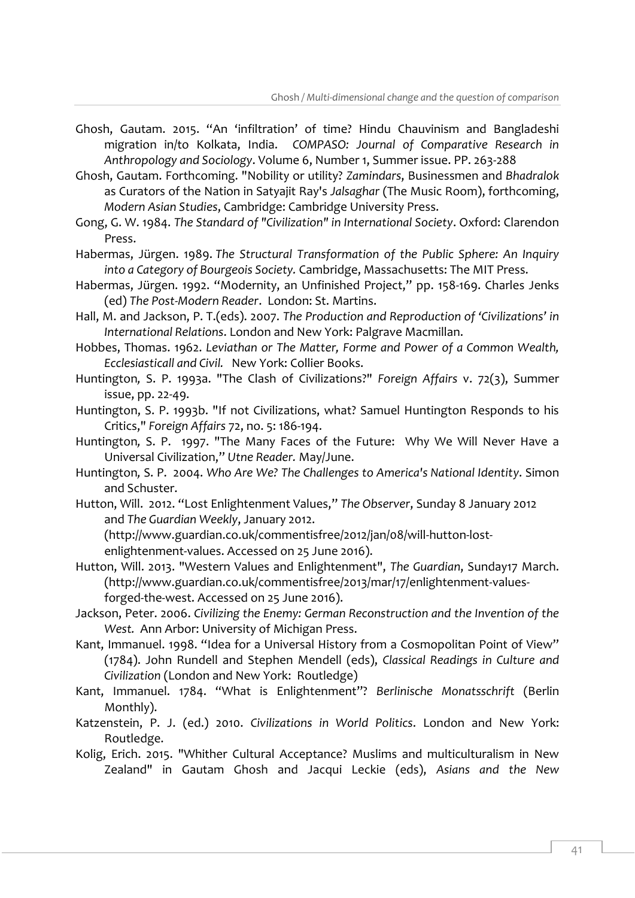- Ghosh, Gautam. 2015. "An 'infiltration' of time? Hindu Chauvinism and Bangladeshi migration in/to Kolkata, India. *COMPASO: Journal of Comparative Research in Anthropology and Sociology*. Volume 6, Number 1, Summer issue. PP. 263-288
- Ghosh, Gautam. Forthcoming. "Nobility or utility? *Zamindars*, Businessmen and *Bhadralok* as Curators of the Nation in Satyajit Ray's *Jalsaghar* (The Music Room), forthcoming, *Modern Asian Studies*, Cambridge: Cambridge University Press.
- Gong, G. W. 1984. *The Standard of "Civilization" in International Society*. Oxford: Clarendon Press.
- Habermas, Jürgen. 1989. *The Structural Transformation of the Public Sphere: An Inquiry into a Category of Bourgeois Society.* Cambridge, Massachusetts: The MIT Press.
- Habermas, Jürgen. 1992. "Modernity, an Unfinished Project," pp. 158-169. Charles Jenks (ed) *The Post-Modern Reader*. London: St. Martins.
- Hall, M. and Jackson, P. T.(eds). 2007. *The Production and Reproduction of 'Civilizations' in International Relations*. London and New York: Palgrave Macmillan.
- Hobbes, Thomas. 1962. *Leviathan or The Matter, Forme and Power of a Common Wealth, Ecclesiasticall and Civil.* New York: Collier Books.
- Huntington*,* S. P. 1993a. "The Clash of Civilizations?" *Foreign Affairs* v. 72(3), Summer issue, pp. 22-49.
- Huntington, S. P. 1993b. "If not Civilizations, what? Samuel Huntington Responds to his Critics," *Foreign Affairs* 72, no. 5: 186-194.
- Huntington*,* S. P. 1997. "The Many Faces of the Future: Why We Will Never Have a Universal Civilization," *Utne Reader.* May/June.
- Huntington*,* S. P. 2004. *Who Are We? The Challenges to America's National Identity*. Simon and Schuster.
- Hutton, Will. 2012. "Lost Enlightenment Values," *The Observer*, Sunday 8 January 2012 and *The Guardian Weekly*, January 2012.
	- (http://www.guardian.co.uk/commentisfree/2012/jan/08/will-hutton-lostenlightenment-values. Accessed on 25 June 2016).
- Hutton, Will. 2013. "Western Values and Enlightenment", *The Guardian*, Sunday17 March. (http://www.guardian.co.uk/commentisfree/2013/mar/17/enlightenment-valuesforged-the-west. Accessed on 25 June 2016).
- Jackson, Peter. 2006. *Civilizing the Enemy: German Reconstruction and the Invention of the West.* Ann Arbor: University of Michigan Press.
- Kant, Immanuel. 1998. "Idea for a Universal History from a Cosmopolitan Point of View" (1784). John Rundell and Stephen Mendell (eds), *Classical Readings in Culture and Civilization* (London and New York: Routledge)
- Kant, Immanuel. 1784. "What is Enlightenment"? *Berlinische Monatsschrift* (Berlin Monthly).
- Katzenstein, P. J. (ed.) 2010. *Civilizations in World Politics*. London and New York: Routledge.
- Kolig, Erich. 2015. "Whither Cultural Acceptance? Muslims and multiculturalism in New Zealand" in Gautam Ghosh and Jacqui Leckie (eds), *Asians and the New*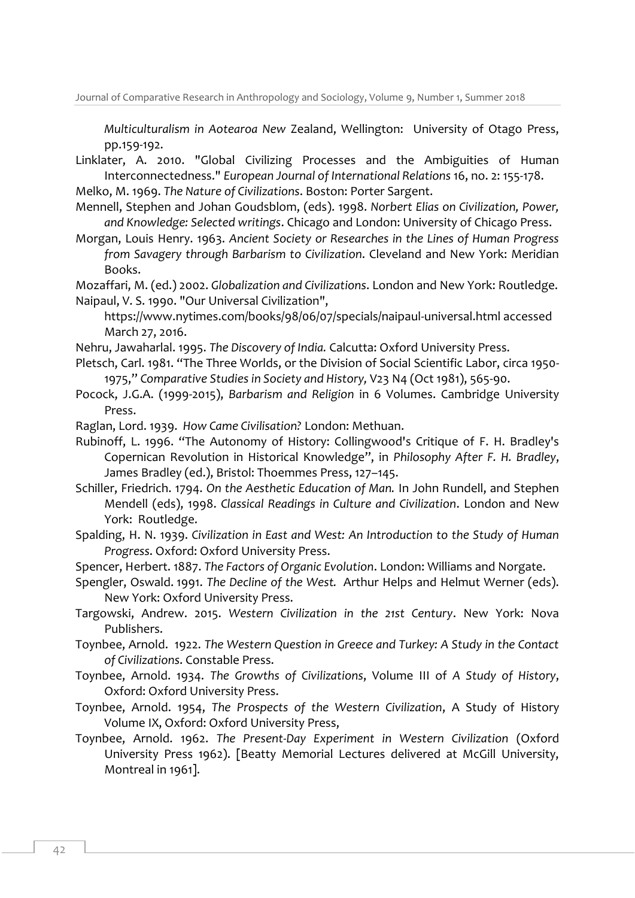*Multiculturalism in Aotearoa New* Zealand, Wellington: University of Otago Press, pp.159-192.

Linklater, A. 2010. "Global Civilizing Processes and the Ambiguities of Human Interconnectedness." *European Journal of International Relations* 16, no. 2: 155-178.

Melko, M. 1969. *The Nature of Civilizations*. Boston: Porter Sargent.

- Mennell, Stephen and Johan Goudsblom, (eds). 1998. *Norbert Elias on Civilization, Power, and Knowledge: Selected writings*. Chicago and London: University of Chicago Press.
- Morgan, Louis Henry. 1963. *Ancient Society or Researches in the Lines of Human Progress from Savagery through Barbarism to Civilization*. Cleveland and New York: Meridian Books.

Mozaffari, M. (ed.) 2002. *Globalization and Civilizations*. London and New York: Routledge. Naipaul, V. S. 1990. "Our Universal Civilization",

https://www.nytimes.com/books/98/06/07/specials/naipaul-universal.html accessed March 27, 2016.

Nehru, Jawaharlal. 1995. *The Discovery of India.* Calcutta: Oxford University Press.

Pletsch, Carl. 1981. "The Three Worlds, or the Division of Social Scientific Labor, circa 1950- 1975," *Comparative Studies in Society and History,* V23 N4 (Oct 1981), 565-90.

Pocock, J.G.A. (1999-2015), *Barbarism and Religion* in 6 Volumes. Cambridge University Press.

Raglan, Lord. 1939. *How Came Civilisation?* London: Methuan.

Rubinoff, L. 1996. "The Autonomy of History: Collingwood's Critique of F. H. Bradley's Copernican Revolution in Historical Knowledge", in *Philosophy After F. H. Bradley*, James Bradley (ed.), Bristol: Thoemmes Press, 127–145.

- Schiller, Friedrich. 1794. *On the Aesthetic Education of Man.* In John Rundell, and Stephen Mendell (eds), 1998. *Classical Readings in Culture and Civilization*. London and New York: Routledge.
- Spalding, H. N. 1939. *Civilization in East and West: An Introduction to the Study of Human Progress*. Oxford: Oxford University Press.
- Spencer, Herbert. 1887. *The Factors of Organic Evolution*. London: Williams and Norgate.

Spengler, Oswald. 1991. *The Decline of the West.* Arthur Helps and Helmut Werner (eds). New York: Oxford University Press.

Targowski, Andrew. 2015. *Western Civilization in the 21st Century*. New York: Nova Publishers.

Toynbee, Arnold. 1922. *The Western Question in Greece and Turkey: A Study in the Contact of Civilizations*. Constable Press.

Toynbee, Arnold. 1934. *The Growths of Civilizations*, Volume III of *A Study of History*, Oxford: Oxford University Press.

Toynbee, Arnold. 1954, *The Prospects of the Western Civilization*, A Study of History Volume IX, Oxford: Oxford University Press,

Toynbee, Arnold. 1962. *The Present-Day Experiment in Western Civilization* (Oxford University Press 1962). [Beatty Memorial Lectures delivered at McGill University, Montreal in 1961].